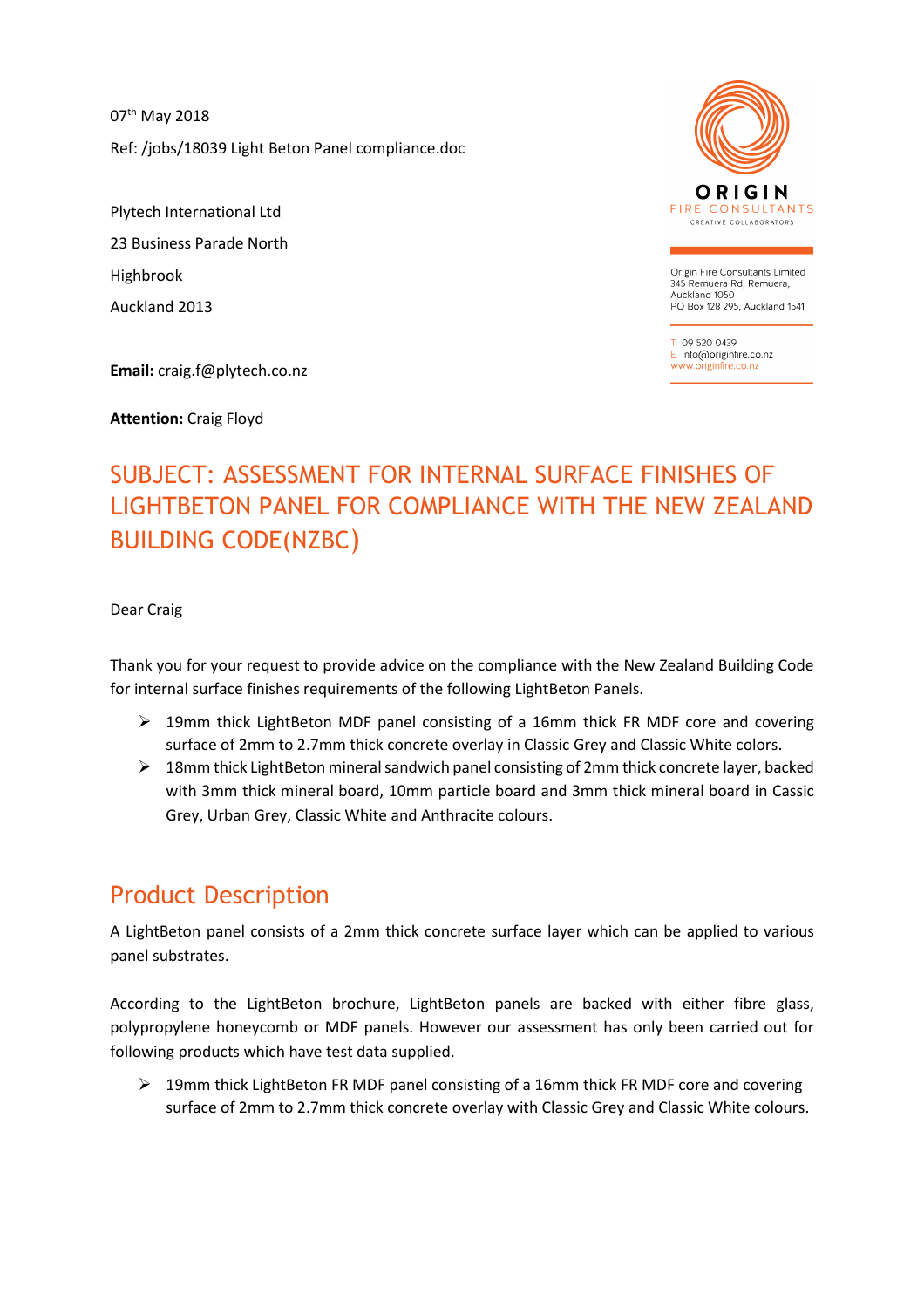07<sup>th</sup> May 2018 Ref: /jobs/18039 Light Beton Panel compliance.doc

Plytech International Ltd 23 Business Parade North Highbrook Auckland 2013

**Email:** craig.f@plytech.co.nz

**Attention:** Craig Floyd



Origin Fire Consultants Limited 345 Remuera Rd, Remuera, Auckland 1050 PO Box 128 295, Auckland 1541

09 520 0439 E info@originfire.co.nz www.originfire.co.n

# SUBJECT: ASSESSMENT FOR INTERNAL SURFACE FINISHES OF LIGHTBETON PANEL FOR COMPLIANCE WITH THE NEW ZEALAND BUILDING CODE(NZBC)

Dear Craig

Thank you for your request to provide advice on the compliance with the New Zealand Building Code for internal surface finishes requirements of the following LightBeton Panels.

- $\triangleright$  19mm thick LightBeton MDF panel consisting of a 16mm thick FR MDF core and covering surface of 2mm to 2.7mm thick concrete overlay in Classic Grey and Classic White colors.
- $\triangleright$  18mm thick LightBeton mineral sandwich panel consisting of 2mm thick concrete layer, backed with 3mm thick mineral board, 10mm particle board and 3mm thick mineral board in Cassic Grey, Urban Grey, Classic White and Anthracite colours.

### Product Description

A LightBeton panel consists of a 2mm thick concrete surface layer which can be applied to various panel substrates.

According to the LightBeton brochure, LightBeton panels are backed with either fibre glass, polypropylene honeycomb or MDF panels. However our assessment has only been carried out for following products which have test data supplied.

 $\triangleright$  19mm thick LightBeton FR MDF panel consisting of a 16mm thick FR MDF core and covering surface of 2mm to 2.7mm thick concrete overlay with Classic Grey and Classic White colours.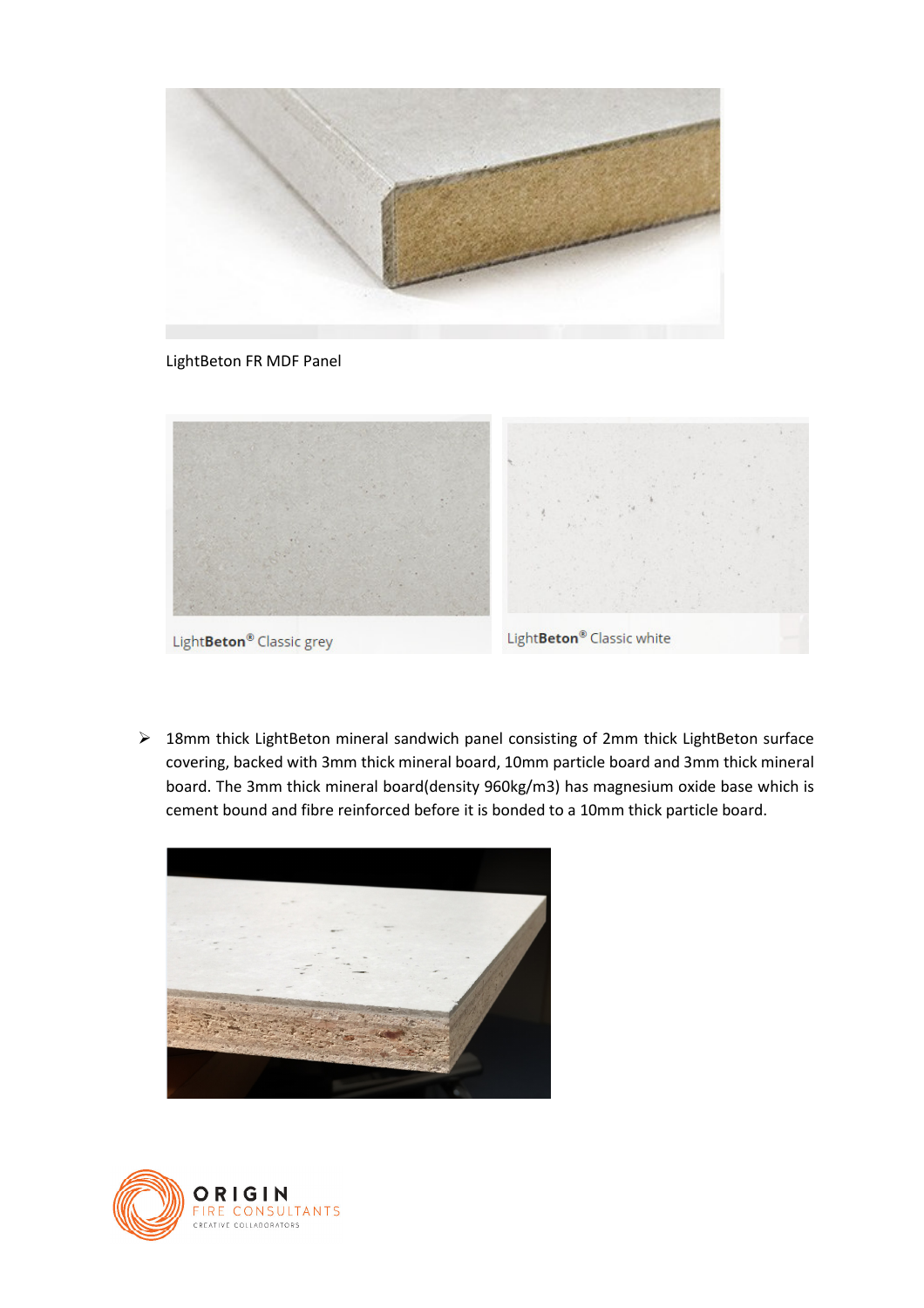

LightBeton FR MDF Panel



Light**Beton®** Classic grey

Light**Beton®** Classic white

 18mm thick LightBeton mineral sandwich panel consisting of 2mm thick LightBeton surface covering, backed with 3mm thick mineral board, 10mm particle board and 3mm thick mineral board. The 3mm thick mineral board(density 960kg/m3) has magnesium oxide base which is cement bound and fibre reinforced before it is bonded to a 10mm thick particle board.



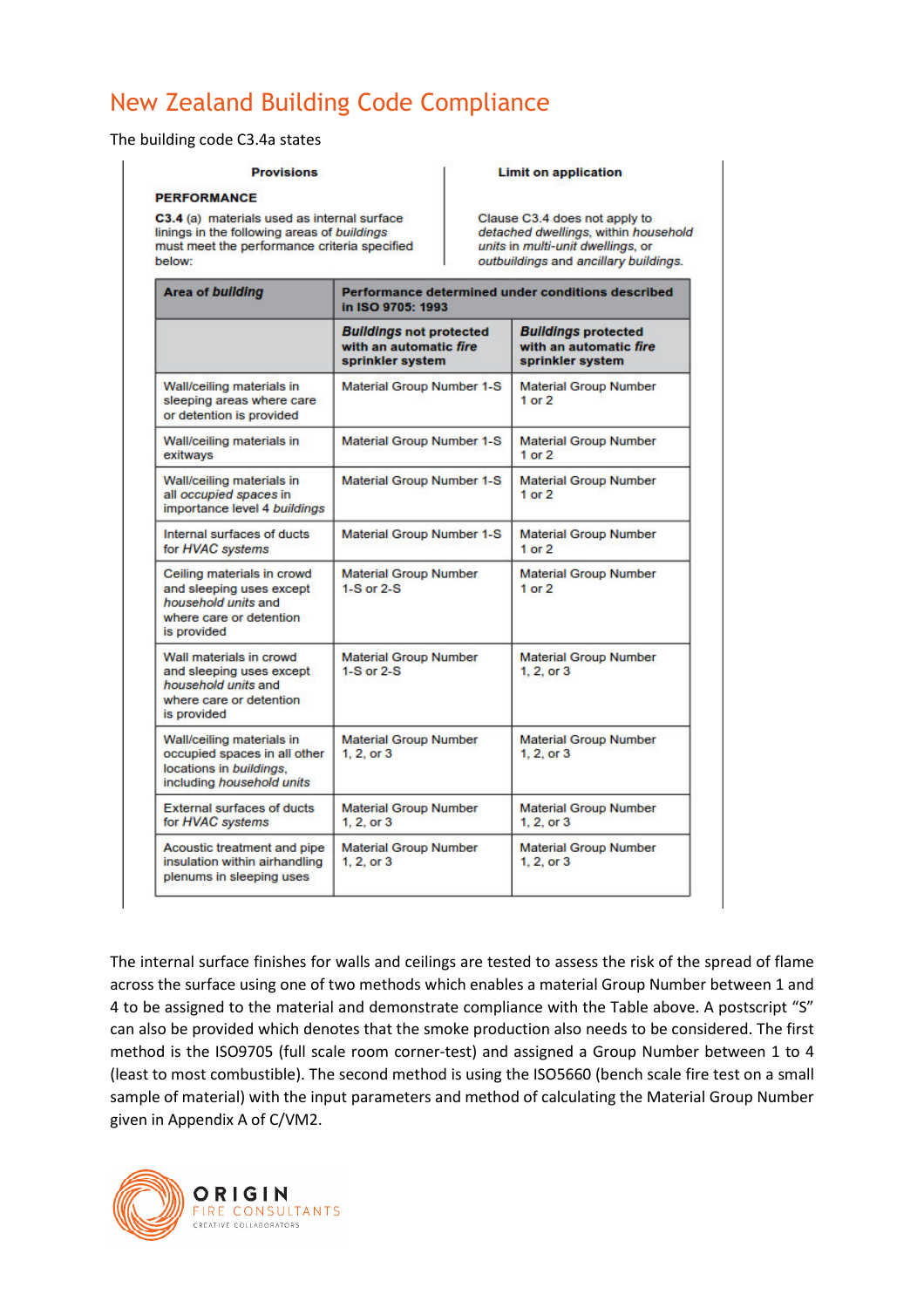## New Zealand Building Code Compliance

The building code C3.4a states

#### **Provisions**

#### **PERFORMANCE**

C3.4 (a) materials used as internal surface linings in the following areas of buildings must meet the performance criteria specified below:

#### **Limit on application**

Clause C3.4 does not apply to detached dwellings, within household units in multi-unit dwellings, or outbuildings and ancillary buildings.

| <b>Area of building</b>                                                                                                 | Performance determined under conditions described<br>in ISO 9705: 1993       |                                                                          |
|-------------------------------------------------------------------------------------------------------------------------|------------------------------------------------------------------------------|--------------------------------------------------------------------------|
|                                                                                                                         | <b>Buildings not protected</b><br>with an automatic fire<br>sprinkler system | <b>Buildings protected</b><br>with an automatic fire<br>sprinkler system |
| Wall/ceiling materials in<br>sleeping areas where care<br>or detention is provided                                      | <b>Material Group Number 1-S</b>                                             | <b>Material Group Number</b><br>$1$ or $2$                               |
| Wall/ceiling materials in<br>exitways                                                                                   | <b>Material Group Number 1-S</b>                                             | <b>Material Group Number</b><br>$1$ or $2$                               |
| Wall/ceiling materials in<br>all occupied spaces in<br>importance level 4 buildings                                     | <b>Material Group Number 1-S</b>                                             | <b>Material Group Number</b><br>$1$ or $2$                               |
| Internal surfaces of ducts<br>for HVAC systems                                                                          | <b>Material Group Number 1-S</b>                                             | <b>Material Group Number</b><br>$1$ or $2$                               |
| Ceiling materials in crowd<br>and sleeping uses except<br>household units and<br>where care or detention<br>is provided | <b>Material Group Number</b><br>$1-S$ or $2-S$                               | <b>Material Group Number</b><br>1 or $2$                                 |
| Wall materials in crowd<br>and sleeping uses except<br>household units and<br>where care or detention<br>is provided    | <b>Material Group Number</b><br>$1-S$ or $2-S$                               | <b>Material Group Number</b><br>1, 2, or 3                               |
| Wall/ceiling materials in<br>occupied spaces in all other<br>locations in buildings.<br>including household units       | <b>Material Group Number</b><br>1, 2, or 3                                   | <b>Material Group Number</b><br>1, 2, or 3                               |
| <b>External surfaces of ducts</b><br>for HVAC systems                                                                   | <b>Material Group Number</b><br>1.2. or 3                                    | <b>Material Group Number</b><br>1, 2, or 3                               |
| Acoustic treatment and pipe<br>insulation within airhandling<br>plenums in sleeping uses                                | <b>Material Group Number</b><br>1.2. or 3                                    | <b>Material Group Number</b><br>1, 2, or 3                               |

The internal surface finishes for walls and ceilings are tested to assess the risk of the spread of flame across the surface using one of two methods which enables a material Group Number between 1 and 4 to be assigned to the material and demonstrate compliance with the Table above. A postscript "S" can also be provided which denotes that the smoke production also needs to be considered. The first method is the ISO9705 (full scale room corner-test) and assigned a Group Number between 1 to 4 (least to most combustible). The second method is using the ISO5660 (bench scale fire test on a small sample of material) with the input parameters and method of calculating the Material Group Number given in Appendix A of C/VM2.

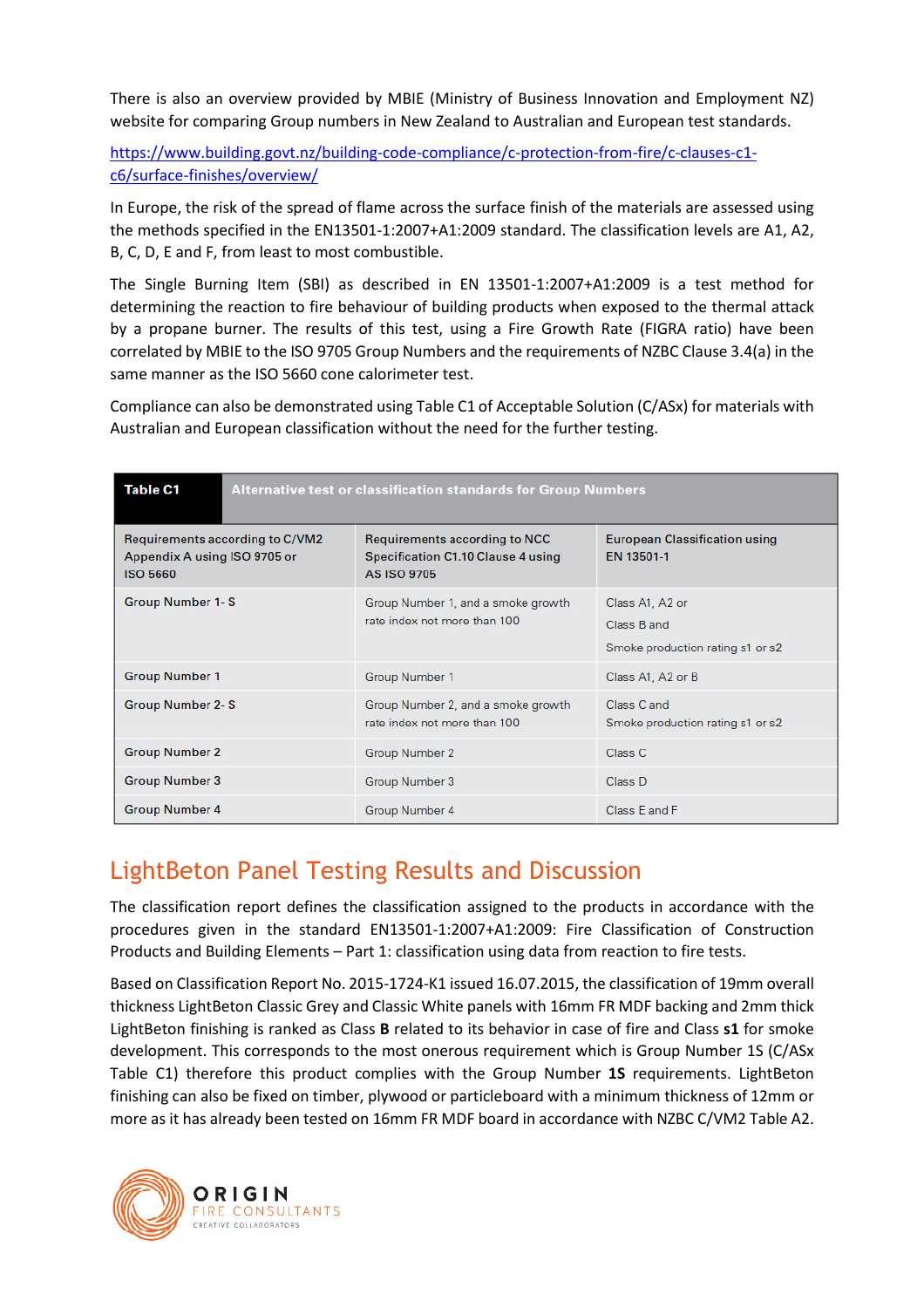There is also an overview provided by MBIE (Ministry of Business Innovation and Employment NZ) website for comparing Group numbers in New Zealand to Australian and European test standards.

https://www.building.govt.nz/building-code-compliance/c-protection-from-fire/c-clauses-c1 c6/surface-finishes/overview/

In Europe, the risk of the spread of flame across the surface finish of the materials are assessed using the methods specified in the EN13501-1:2007+A1:2009 standard. The classification levels are A1, A2, B, C, D, E and F, from least to most combustible.

The Single Burning Item (SBI) as described in EN 13501-1:2007+A1:2009 is a test method for determining the reaction to fire behaviour of building products when exposed to the thermal attack by a propane burner. The results of this test, using a Fire Growth Rate (FIGRA ratio) have been correlated by MBIE to the ISO 9705 Group Numbers and the requirements of NZBC Clause 3.4(a) in the same manner as the ISO 5660 cone calorimeter test.

Compliance can also be demonstrated using Table C1 of Acceptable Solution (C/ASx) for materials with Australian and European classification without the need for the further testing.

| Table C1<br><b>Alternative test or classification standards for Group Numbers</b>  |                                                                                                         |                                                                    |  |
|------------------------------------------------------------------------------------|---------------------------------------------------------------------------------------------------------|--------------------------------------------------------------------|--|
| Requirements according to C/VM2<br>Appendix A using ISO 9705 or<br><b>ISO 5660</b> | <b>Requirements according to NCC</b><br><b>Specification C1.10 Clause 4 using</b><br><b>AS ISO 9705</b> | <b>European Classification using</b><br>EN 13501-1                 |  |
| <b>Group Number 1-S</b>                                                            | Group Number 1, and a smoke growth<br>rate index not more than 100                                      | Class A1, A2 or<br>Class B and<br>Smoke production rating s1 or s2 |  |
| <b>Group Number 1</b>                                                              | Group Number 1                                                                                          | Class A1, A2 or B                                                  |  |
| <b>Group Number 2-S</b>                                                            | Group Number 2, and a smoke growth<br>rate index not more than 100                                      | Class C and<br>Smoke production rating s1 or s2                    |  |
| <b>Group Number 2</b>                                                              | <b>Group Number 2</b>                                                                                   | Class C                                                            |  |
| <b>Group Number 3</b>                                                              | Group Number 3                                                                                          | Class D                                                            |  |
| <b>Group Number 4</b>                                                              | <b>Group Number 4</b>                                                                                   | Class E and F                                                      |  |

### LightBeton Panel Testing Results and Discussion

The classification report defines the classification assigned to the products in accordance with the procedures given in the standard EN13501-1:2007+A1:2009: Fire Classification of Construction Products and Building Elements – Part 1: classification using data from reaction to fire tests.

Based on Classification Report No. 2015-1724-K1 issued 16.07.2015, the classification of 19mm overall thickness LightBeton Classic Grey and Classic White panels with 16mm FR MDF backing and 2mm thick LightBeton finishing is ranked as Class **B** related to its behavior in case of fire and Class **s1** for smoke development. This corresponds to the most onerous requirement which is Group Number 1S (C/ASx Table C1) therefore this product complies with the Group Number **1S** requirements. LightBeton finishing can also be fixed on timber, plywood or particleboard with a minimum thickness of 12mm or more as it has already been tested on 16mm FR MDF board in accordance with NZBC C/VM2 Table A2.

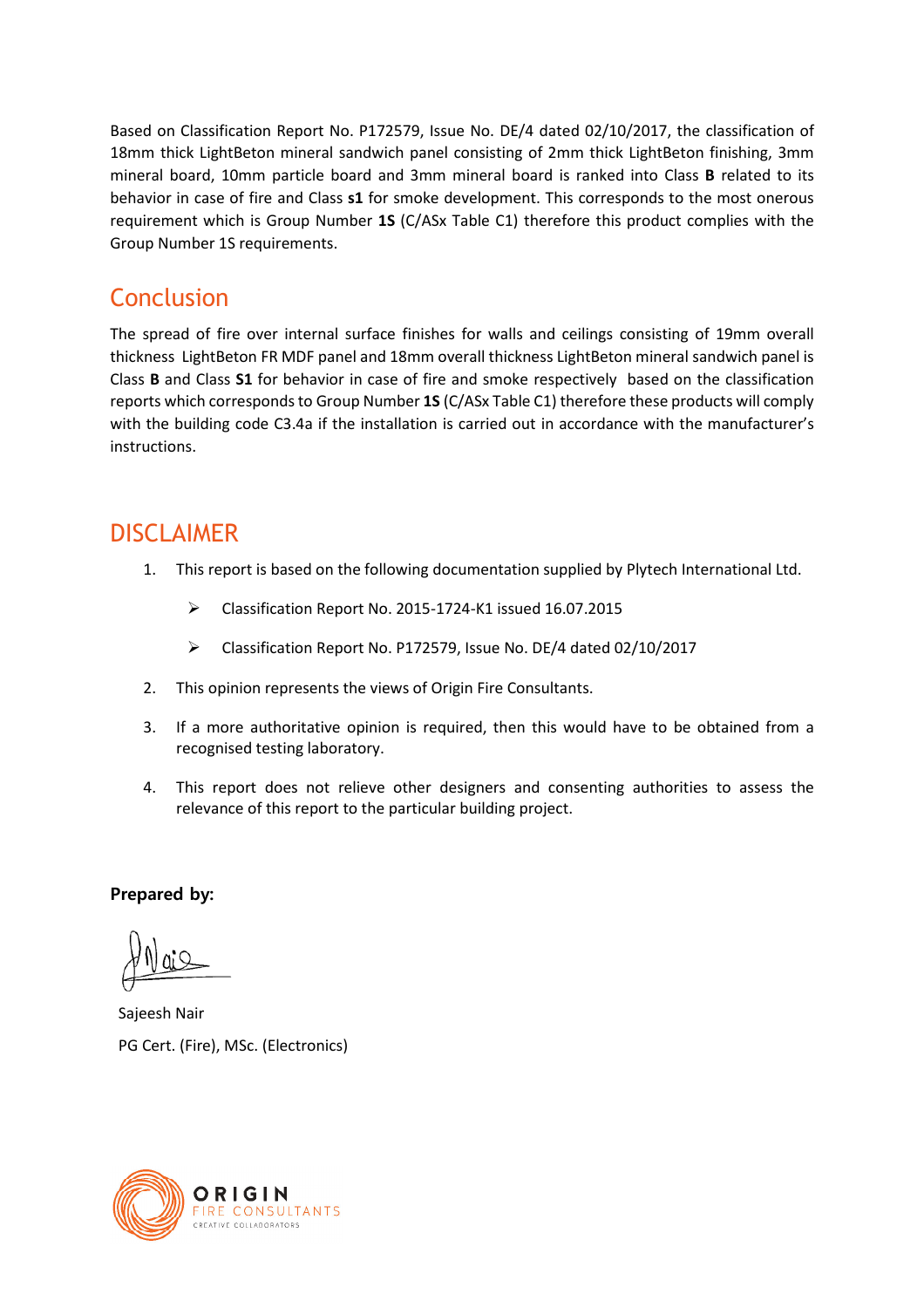Based on Classification Report No. P172579, Issue No. DE/4 dated 02/10/2017, the classification of 18mm thick LightBeton mineral sandwich panel consisting of 2mm thick LightBeton finishing, 3mm mineral board, 10mm particle board and 3mm mineral board is ranked into Class **B** related to its behavior in case of fire and Class **s1** for smoke development. This corresponds to the most onerous requirement which is Group Number **1S** (C/ASx Table C1) therefore this product complies with the Group Number 1S requirements.

### **Conclusion**

The spread of fire over internal surface finishes for walls and ceilings consisting of 19mm overall thickness LightBeton FR MDF panel and 18mm overall thickness LightBeton mineral sandwich panel is Class **B** and Class **S1** for behavior in case of fire and smoke respectively based on the classification reports which corresponds to Group Number **1S** (C/ASx Table C1) therefore these products will comply with the building code C3.4a if the installation is carried out in accordance with the manufacturer's instructions.

### DISCLAIMER

- 1. This report is based on the following documentation supplied by Plytech International Ltd.
	- Classification Report No. 2015-1724-K1 issued 16.07.2015
	- Classification Report No. P172579, Issue No. DE/4 dated 02/10/2017
- 2. This opinion represents the views of Origin Fire Consultants.
- 3. If a more authoritative opinion is required, then this would have to be obtained from a recognised testing laboratory.
- 4. This report does not relieve other designers and consenting authorities to assess the relevance of this report to the particular building project.

**Prepared by:** 

Sajeesh Nair PG Cert. (Fire), MSc. (Electronics)